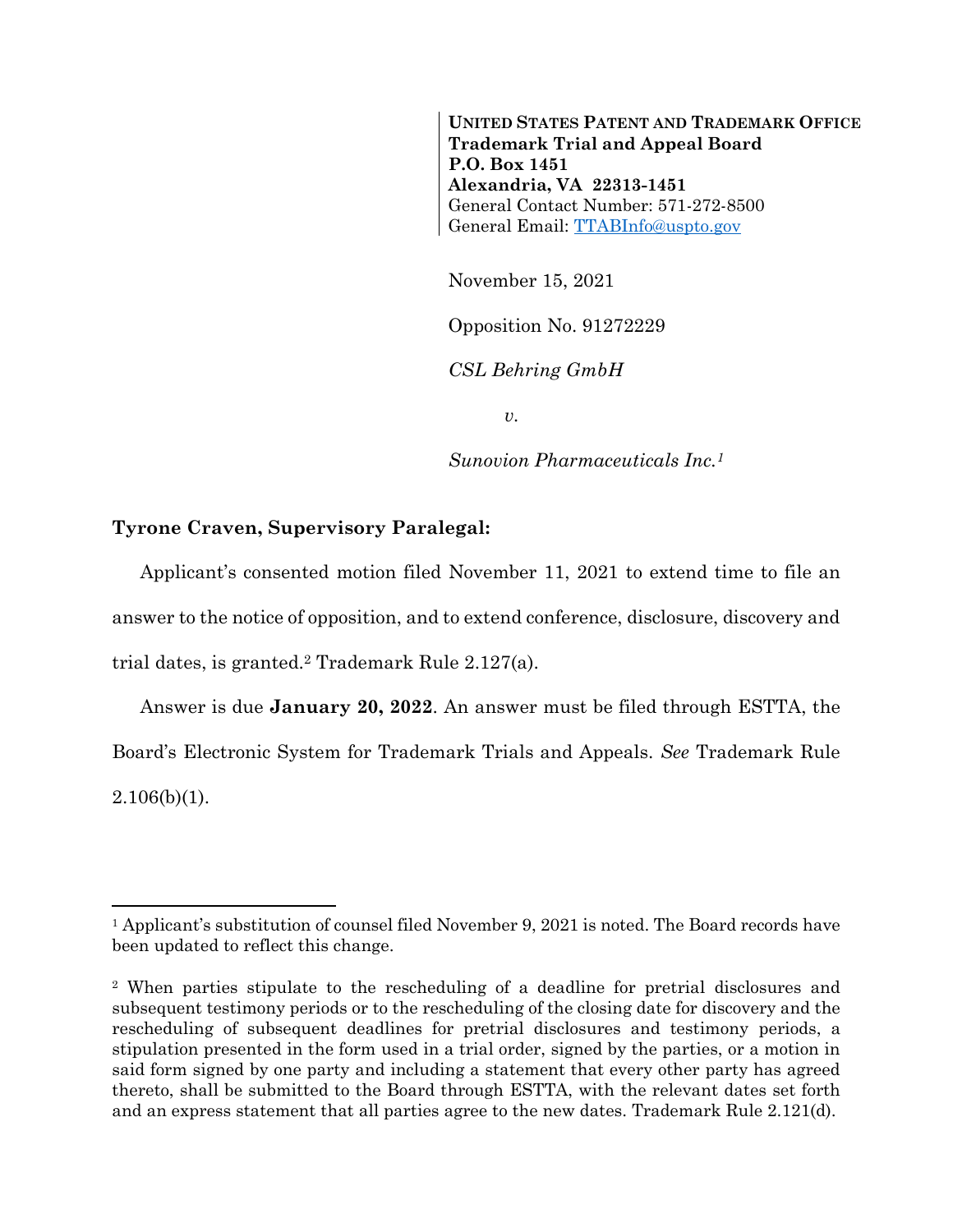**UNITED STATES PATENT AND TRADEMARK OFFICE Trademark Trial and Appeal Board P.O. Box 1451 Alexandria, VA 22313-1451** General Contact Number: 571-272-8500 General Email: [TTABInfo@uspto.gov](mailto:TTABInfo@uspto.gov)

November 15, 2021

Opposition No. 91272229

*CSL Behring GmbH*

*v.*

*Sunovion Pharmaceuticals Inc.<sup>1</sup>*

## **Tyrone Craven, Supervisory Paralegal:**

l

Applicant's consented motion filed November 11, 2021 to extend time to file an answer to the notice of opposition, and to extend conference, disclosure, discovery and trial dates, is granted.<sup>2</sup> Trademark Rule 2.127(a).

Answer is due **January 20, 2022**. An answer must be filed through ESTTA, the Board's Electronic System for Trademark Trials and Appeals. *See* Trademark Rule  $2.106(b)(1)$ .

<sup>1</sup> Applicant's substitution of counsel filed November 9, 2021 is noted. The Board records have been updated to reflect this change.

<sup>2</sup> When parties stipulate to the rescheduling of a deadline for pretrial disclosures and subsequent testimony periods or to the rescheduling of the closing date for discovery and the rescheduling of subsequent deadlines for pretrial disclosures and testimony periods, a stipulation presented in the form used in a trial order, signed by the parties, or a motion in said form signed by one party and including a statement that every other party has agreed thereto, shall be submitted to the Board through ESTTA, with the relevant dates set forth and an express statement that all parties agree to the new dates. Trademark Rule 2.121(d).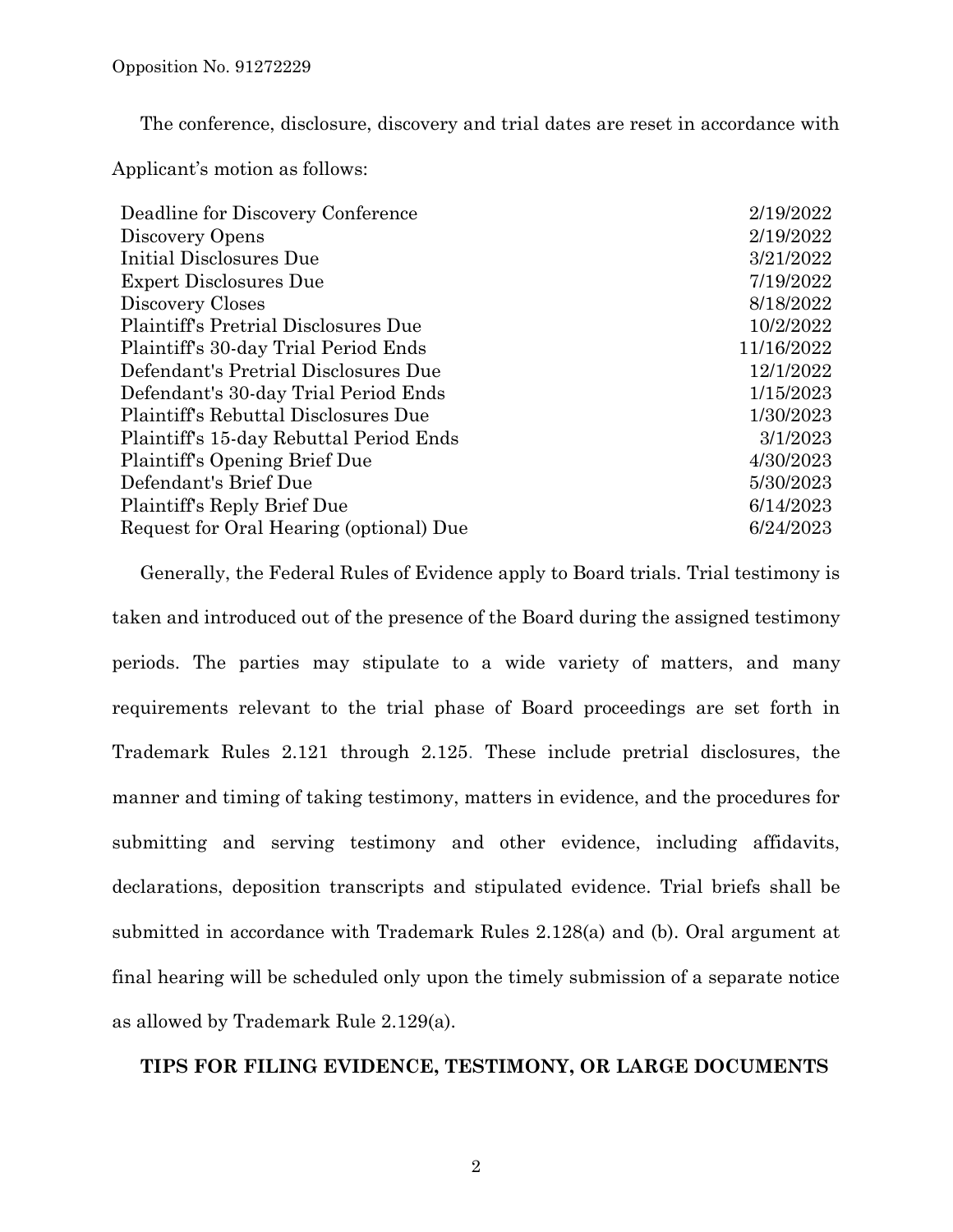The conference, disclosure, discovery and trial dates are reset in accordance with

Applicant's motion as follows:

| Deadline for Discovery Conference       | 2/19/2022  |
|-----------------------------------------|------------|
| Discovery Opens                         | 2/19/2022  |
| Initial Disclosures Due                 | 3/21/2022  |
| <b>Expert Disclosures Due</b>           | 7/19/2022  |
| Discovery Closes                        | 8/18/2022  |
| Plaintiff's Pretrial Disclosures Due    | 10/2/2022  |
| Plaintiff's 30-day Trial Period Ends    | 11/16/2022 |
| Defendant's Pretrial Disclosures Due    | 12/1/2022  |
| Defendant's 30-day Trial Period Ends    | 1/15/2023  |
| Plaintiff's Rebuttal Disclosures Due    | 1/30/2023  |
| Plaintiff's 15-day Rebuttal Period Ends | 3/1/2023   |
| Plaintiff's Opening Brief Due           | 4/30/2023  |
| Defendant's Brief Due                   | 5/30/2023  |
| Plaintiff's Reply Brief Due             | 6/14/2023  |
| Request for Oral Hearing (optional) Due | 6/24/2023  |
|                                         |            |

Generally, the Federal Rules of Evidence apply to Board trials. Trial testimony is taken and introduced out of the presence of the Board during the assigned testimony periods. The parties may stipulate to a wide variety of matters, and many requirements relevant to the trial phase of Board proceedings are set forth in Trademark Rules 2.121 through 2.125. These include pretrial disclosures, the manner and timing of taking testimony, matters in evidence, and the procedures for submitting and serving testimony and other evidence, including affidavits, declarations, deposition transcripts and stipulated evidence. Trial briefs shall be submitted in accordance with Trademark Rules 2.128(a) and (b). Oral argument at final hearing will be scheduled only upon the timely submission of a separate notice as allowed by Trademark Rule 2.129(a).

## **TIPS FOR FILING EVIDENCE, TESTIMONY, OR LARGE DOCUMENTS**